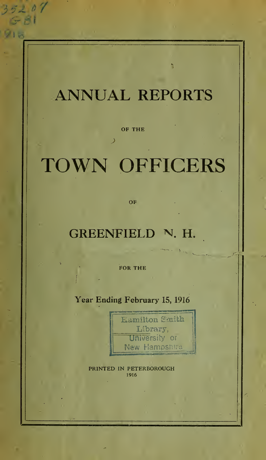# ANNUAL REPORTS

 $5207$ 

916

#### OF THE

# TOWN OFFICERS

#### OF

# GREENFIELD N. H.

FOR THE

# Year Ending February 15, 1916



PRINTED IN PETERBOROUGH 1916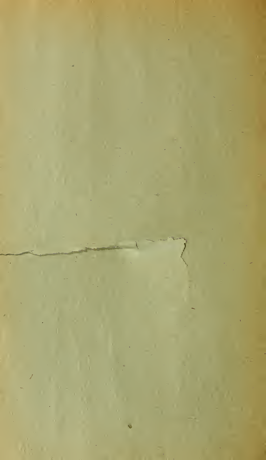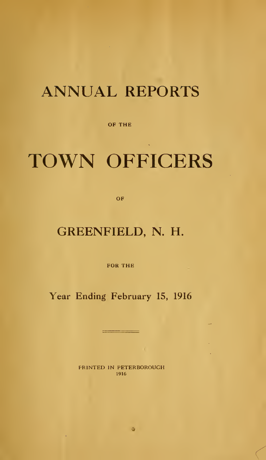# ANNUAL REPORTS

OF THE

# TOWN OFFICERS

OF

# GREENFIELD, N. H.

FOR THE

Year Ending February 15, 1916

------------

PRINTED IN PETERBOROUGH 1916

 $\lambda$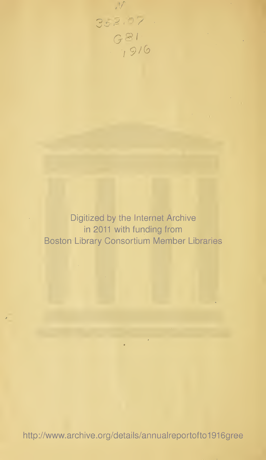Digitized by the Internet Archive in 2011 with funding from Boston Library Consortium Member Libraries

 $352.07$ <br> $G81$ <br> $9/6$ 

http://www.archive.org/details/annualreportofto1916gree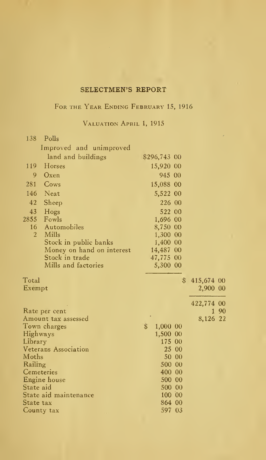#### SELECTMEN'S REPORT

#### FOR THE YEAR ENDING FEBRUARY 15, 1916

#### VALUATION APRIL 1, 1915

### 138 Polls Improved and unimproved  $land and buildings$  \$296,743 00 119 Horses 15,920 00 9 Oxen 945 00 281 Cows 15,088 00 146 Neat 5,522 00 42 Sheep 226 00 43 Hogs 522 00<br>2855 Fowls 1.696 00 **285 Fowls 2056** Fowls **1,696 00** 16 Automobiles 8,750 00 2 Mills 1,300 00<br>Stock in public banks 1,400 00 Stock in public banks Money on hand on interest 14,487 00<br>Stock in trade 47,775 00 Stock in trade 47,775 00<br>Mills and factories 5.300 00 Mills and factories Total \$ 415,674 00<br>Exempt 2,900 00 2,900 00 422,774 00 Rate per cent 1 90 Amount tax assessed 8,126 22 Town charges  $$ 1,000 00$ <br>Highways  $1,500 00$ Highways 1,500 00 Library 175 00 Veterans Association 25 00<br>Moths 25 00  $\mathbf{M}$ oths  $\mathbf{50}$  00 Railing 500 00 Cemeteries 400 00 Engine house 500 00<br>State aid 500 00 State aid 500 00 State aid maintenance State tax  $864\,00$ County tax 597 03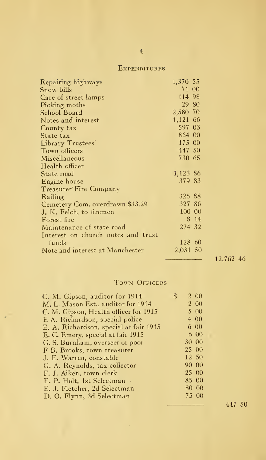# **EXPENDITURES**

| Repairing highways                 | 1,370 55 |
|------------------------------------|----------|
| Snow bills                         | 71 00    |
| Care of street lamps               | 114 98   |
| Picking moths                      | 29 80    |
| School Board                       | 2,580 70 |
| Notes and interest                 | 1,121 66 |
| County tax                         | 597 03   |
| State tax                          | 864 00   |
| Library Trustees                   | 175 00   |
| Town officers                      | 447 50   |
| Miscellaneous                      | 730 65   |
| Health officer                     |          |
| State road                         | 1,123 86 |
| Engine house                       | 379 83   |
| <b>Treasurer Fire Company</b>      |          |
| Railing                            | 326 88   |
| Cemetery Com. overdrawn \$33.29    | 327 86   |
| J. K. Felch, to firemen            | 100 00   |
| Forest fire                        | 8 14     |
| Maintenance of state road          | 224 32   |
| Interest on church notes and trust |          |
| funds                              | 128 60   |
| Note and interest at Manchester    | 2,031 50 |

12,762 46

# TOWN OFFICERS

| C. M. Gipson, auditor for 1914         | \$<br>2 00 |  |
|----------------------------------------|------------|--|
| M. L. Mason Est., auditor for 1914     | 2 00       |  |
| C. M. Gipson, Health officer for 1915  | 5 00       |  |
| E A. Richardson, special police        | 4 00       |  |
| E. A. Richardson, special at fair 1915 | 600        |  |
| E. C. Emery, special at fair 1915      | 6 00       |  |
| G. S. Burnham, overseer or poor        | 30 00      |  |
| F B. Brooks, town treasurer            | 25 00      |  |
| J. E. Warien, constable                | 12 50      |  |
| G. A. Reynolds, tax collector          | 90 00      |  |
| F. J. Aiken, town clerk                | 25 00      |  |
| E. P. Holt, 1st Selectman              | 85 00      |  |
| E. J. Fletcher, 2d Selectman           | 80 00      |  |
| D. O. Flynn, 3d Selectman              | 75 00      |  |
|                                        |            |  |

447 50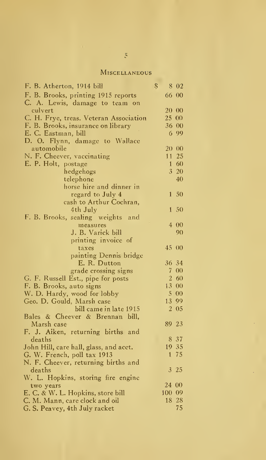# **MISCELLANEOUS**

| F. B. Atherton, 1914 bill              | \$           | 802   |
|----------------------------------------|--------------|-------|
| F. B. Brooks, printing 1915 reports    |              | 66 00 |
| C. A. Lewis, damage to team on         |              |       |
| culvert                                |              | 20 00 |
| C. H. Frye, treas. Veteran Association | 25 00        |       |
| F. B. Brooks, insurance on library     |              | 36 00 |
| E. C. Eastman, bill                    |              | 6 99  |
| D. O. Flynn, damage to Wallace         |              |       |
| automobile                             |              | 20 00 |
| N. F. Cheever, vaccinating             | 11           | 25    |
| E. P. Holt, postage                    |              | 1,60  |
| hedgehogs                              |              | 3 20  |
| telephone                              |              | 40    |
| horse hire and dinner in               |              |       |
| regard to July 4                       | $\mathbf{1}$ | 50    |
| cash to Arthur Cochran,                |              |       |
| 4th July                               | 1            | 50    |
| F. B. Brooks, sealing weights and      |              |       |
| measures                               |              | 4 00  |
| J. B. Varick bill                      |              | 90    |
| printing invoice of                    |              |       |
| taxes                                  |              | 45 00 |
| painting Dennis bridge                 |              |       |
| E. R. Dutton                           |              | 36 34 |
| grade crossing signs                   |              | 700   |
| G. F. Russell Est., pipe for posts     |              | 2 60  |
| F. B. Brooks, auto signs               |              | 13 00 |
| W. D. Hardy, wood for lobby            |              | 500   |
| Geo. D. Gould, Marsh case              |              | 13 99 |
| bill came in late 1915                 |              | 2 05  |
| Bales & Cheever & Brennan bill,        |              |       |
| Marsh case                             | 89 23        |       |
| F. J. Aiken, returning births<br>and   |              |       |
| deaths                                 |              | 8 37  |
| John Hill, care hall, glass, and acct. |              | 19 35 |
| G. W. French, poll tax 1913            | 1            | 75    |
| N. F. Cheever, returning births and    |              |       |
| deaths                                 |              | 325   |
| W. L. Hopkins, storing fire engine     |              |       |
| two years                              | 24 00        |       |
| E. C. & W. L. Hopkins, store bill      | 100 09       |       |
| C. M. Mann, care clock and oil         |              | 18 28 |
| G. S. Peavey, 4th July racket          |              | 75    |
|                                        |              |       |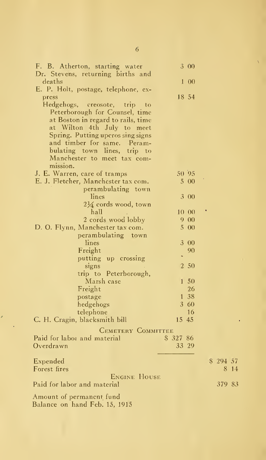| F. B. Atherton, starting water                              | 3 00             |         |
|-------------------------------------------------------------|------------------|---------|
| Dr. Stevens, returning births and<br>deaths                 | $1\ \ 00$        |         |
| E. P. Holt, postage, telephone, ex-                         |                  |         |
| press                                                       | 18 54            |         |
| Hedgehogs, creosote, trip<br>to to                          |                  |         |
| Peterborough for Counsel, time                              |                  |         |
| at Boston in regard to rails, time                          |                  |         |
| at Wilton 4th July to meet                                  |                  |         |
| Spring. Putting uperos sing signs                           |                  |         |
| and timber for same.<br>Peram-                              |                  |         |
| bulating town lines, trip to<br>Manchester to meet tax com- |                  |         |
| mission.                                                    |                  |         |
| J. E. Warren, care of tramps                                | 50 95            |         |
| E. J. Fletcher, Manchester tax com.                         | 5 00             |         |
| perambulating town                                          |                  |         |
| lines                                                       | 3 00             |         |
| $2\frac{1}{4}$ cords wood, town                             |                  |         |
| hall                                                        | 10 00            |         |
| 2 cords wood lobby                                          | 900              |         |
| D. O. Flynn, Manchester tax com.                            | 5 00             |         |
| perambulating town<br>lines                                 | 3 00             |         |
| Freight                                                     | 90               |         |
| putting up crossing                                         |                  |         |
| signs                                                       | 2 50             |         |
| trip to Peterborough,                                       |                  |         |
| Marsh case                                                  | 1,50             |         |
| Freight                                                     | 26               |         |
| postage                                                     | 1 38             |         |
| hedgehogs                                                   | $3\overline{60}$ |         |
| telephone                                                   | 16<br>15 45      |         |
| C. H. Cragin, blacksmith bill                               |                  |         |
| <b>CEMETERY COMMITTEE</b>                                   |                  |         |
| Paid for labor and material                                 | \$ 327 86        |         |
| Overdrawn                                                   | 33 29            |         |
| Expended                                                    |                  | \$29457 |
| Forest fires                                                |                  | 8 14    |
| ENGINE HOUSE                                                |                  |         |
| Paid for labor and material                                 |                  | 379 83  |
| Amount of permanent fund                                    |                  |         |
| Balance on hand Feb. 15, 1915                               |                  |         |

 $\overline{6}$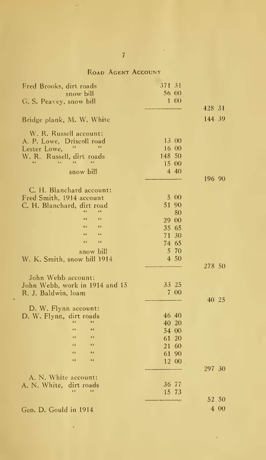# ROAD AGENT ACCOUNT

| Fred Brooks, dirt roads                          | 371 31 |        |
|--------------------------------------------------|--------|--------|
| snow bill                                        | 56 00  |        |
| G. S. Peavey, snow bill                          | 1 00   |        |
|                                                  |        | 428 31 |
| Bridge plank, M. W. White                        |        | 144 39 |
| W. R. Russell account:                           |        |        |
| A. P. Lowe, Driscoll road                        | 13 00  |        |
| $\epsilon$<br>Lester Lowe,                       | 16 00  |        |
| W. R. Russell, dirt roads                        | 148 50 |        |
| $-66$<br>$-66$<br>66<br>$\mathbf{G}(\mathbf{x})$ | 15 00  |        |
| snow bill                                        | 440    |        |
|                                                  |        | 196 90 |
| C. H. Blanchard account:                         |        |        |
| Fred Smith, 1914 account                         | 5 00   |        |
| C. H. Blanchard, dirt road                       | 51 90  |        |
| 66                                               | 80     |        |
| 66<br>$\epsilon$                                 | 29 00  |        |
| $\epsilon$<br>$\epsilon$                         | 35 65  |        |
| 66<br>66                                         | 71 30  |        |
| $\epsilon$<br>$\epsilon$                         | 74 65  |        |
| snow bill                                        | 5 70   |        |
| W. K. Smith, snow bill 1914                      | 4 50   |        |
|                                                  |        | 278 50 |
| John Webb account:                               |        |        |
| John Webb, work in 1914 and 15                   | 33 25  |        |
| R. J. Baldwin, loam                              | 7 00   |        |
|                                                  |        | 40 25  |
| D. W. Flynn account:                             |        |        |
| D. W. Flynn, dirt roads                          | 46 40  |        |
| $\epsilon$                                       | 40 20  |        |
| 66<br>66                                         | 54 00  |        |
| 66<br>66<br>66<br>66                             | 61 20  |        |
| 66<br>66                                         | 21 60  |        |
| $\epsilon$ $\epsilon$<br>$\zeta$ $\zeta$         | 61 90  |        |
|                                                  | 12 00  | 297 30 |
|                                                  |        |        |
| A. N. White account:                             | 36 77  |        |
| A. N. White, dirt roads<br>66                    | 15 73  |        |
|                                                  |        | 52 50  |
|                                                  |        |        |
| Geo. D. Gould in 1914                            |        | 4 00   |

k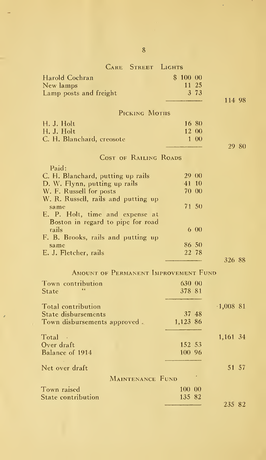| CARE STREET LIGHTS                          |                   |             |
|---------------------------------------------|-------------------|-------------|
| Harold Cochran                              | \$10000           |             |
| New lamps                                   | 11 25             |             |
| Lamp posts and freight                      | 3 73              |             |
|                                             |                   | 114 98      |
| PICKING MOTHS                               |                   |             |
| H. J. Holt                                  | 16 80             |             |
| H. J. Holt                                  | 12 00<br>$1 \ 00$ |             |
| C. H. Blanchard, creosote                   |                   | 29 80       |
| COST OF RAILING ROADS                       |                   |             |
| Paid:                                       |                   |             |
| C. H. Blanchard, putting up rails           | 29 00             |             |
| D. W. Flynn, putting up rails               | 41 10             |             |
| W. F. Russell for posts                     | 70 00             |             |
| W. R. Russell, rails and putting up<br>same | 71 50             |             |
| E. P. Holt, time and expense at             |                   |             |
| Boston in regard to pipe for road           |                   |             |
| rails                                       | 600               |             |
| F. B. Brooks, rails and putting up          | 86 50             |             |
| same<br>E. J. Fletcher, rails               | 22 78             |             |
|                                             |                   | 326 88      |
| AMOUNT OF PERMANENT IMPROVEMENT FUND        |                   |             |
| Town contribution                           | 630 00            |             |
| State                                       | 378 81            |             |
| Total contribution                          |                   | $-1,008$ 81 |
| State disbursements                         | 37 48             |             |
| Town disbursements approved                 | 1,123 86          |             |
|                                             |                   |             |
| Total<br>Over draft                         |                   | 1,161 34    |
| Balance of 1914                             | 152 53<br>100 96  |             |
|                                             |                   |             |
| Net over draft                              |                   | 51 57       |
| MAINTENANCE FUND                            |                   |             |
| Town raised                                 | 100 00            |             |
| State contribution                          | 135 82            |             |
|                                             |                   | 235 82      |

ï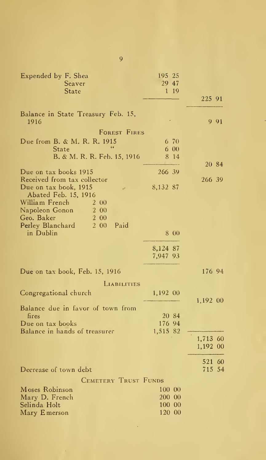| Expended by F. Shea<br>Seaver<br>State        | 195 25<br>29 47<br>1 19 |                      |       |
|-----------------------------------------------|-------------------------|----------------------|-------|
|                                               |                         | 225 91               |       |
| Balance in State Treasury Feb. 15,<br>1916    |                         |                      | 9 9 1 |
| <b>FOREST FIRES</b>                           |                         |                      |       |
| Due from B. & M. R. R. 1915                   | 6 70                    |                      |       |
| State                                         | 6 00<br>814             |                      |       |
| B. & M. R. R. Feb. 15, 1916                   |                         |                      | 20 84 |
| Due on tax books 1915                         | 266 39                  |                      |       |
| Received from tax collector                   |                         | 266 39               |       |
| Due on tax book, 1915<br>Abated Feb. 15, 1916 | 8,132 87                |                      |       |
| William French<br>2 00                        |                         |                      |       |
| Napoleon Gonon<br>2 00                        |                         |                      |       |
| Geo. Baker<br>2 00                            |                         |                      |       |
| Perley Blanchard<br>2 00<br>Paid<br>in Dublin | 8 00                    |                      |       |
|                                               | 8,124 87                |                      |       |
|                                               | 7,947 93                |                      |       |
| Due on tax book, Feb. 15, 1916                |                         | 176 94               |       |
| <b>LIABILITIES</b>                            |                         |                      |       |
| Congregational church                         | 1,192 00                |                      |       |
| Balance due in favor of town from             |                         | 1,192 00             |       |
| fires                                         | 20 84                   |                      |       |
| Due on tax books                              | 176 94                  |                      |       |
| Balance in hands of treasurer                 | 1,515 82                |                      |       |
|                                               |                         | 1,713 60<br>1,192 00 |       |
|                                               |                         |                      |       |
|                                               |                         | 521                  | 60    |
| Decrease of town debt                         |                         | 715 54               |       |
| <b>CEMETERY TRUST FUNDS</b>                   |                         |                      |       |
| Moses Robinson                                | 100 00                  |                      |       |
| Mary D. French<br>Selinda Holt                | 200 00<br>100 00        |                      |       |
| Mary Emerson                                  | 120 00                  |                      |       |

 $\overline{9}$ 

l,

 $\mathcal{L}_{\text{max}}(\mathbf{r})$  , and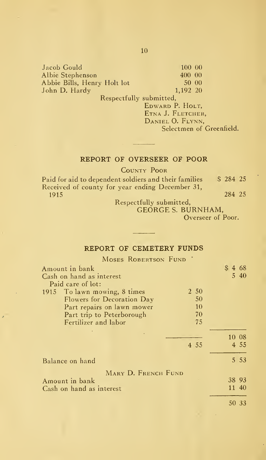| Jacob Gould                 | 100 00            |
|-----------------------------|-------------------|
| Albie Stephenson            | 400 00            |
| Abbie Bills, Henry Holt lot | 50 00             |
| John D. Hardy               | 1,192 20          |
| Respectfully submitted,     |                   |
|                             | EDWARD P. HOLT,   |
|                             | ETNA J. FLETCHER, |
|                             | DANIEL O. FLYNN,  |

#### REPORT OF OVERSEER OF POOR

County Poor

Paid for aid to dependent soldiers and their families \$ 284 25 Received of county for year ending December 31, 1915 284 25

Respectfully submitted,

GEORGE S. BURNHAM,

Overseer of Poor.

Selectmen of Greenfield.

# REPORT OF CEMETERY FUNDS

| <b>MOSES ROBERTSON FUND</b>                   |       |       |
|-----------------------------------------------|-------|-------|
| Amount in bank                                |       | \$468 |
| Cash on hand as interest<br>Paid care of lot: |       | 5 40  |
| 1915 To lawn mowing, 8 times                  | 2 50  |       |
| Flowers for Decoration Day                    | 50    |       |
| Part repairs on lawn mower                    | 10    |       |
| Part trip to Peterborough                     | 70    |       |
| Fertilizer and labor                          | 75    |       |
|                                               |       | 10 08 |
|                                               | 4 5 5 | 4 5 5 |
| Balance on hand                               |       | 5 53  |
| MARY D. FRENCH FUND                           |       |       |
| Amount in bank                                |       | 38 93 |
| Cash on hand as interest                      |       | 11 40 |
|                                               |       | 50 33 |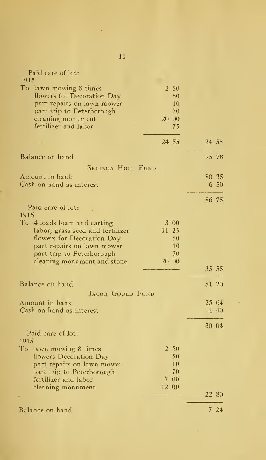| Paid care of lot:                |       |       |       |
|----------------------------------|-------|-------|-------|
| 1915                             |       |       |       |
| To lawn mowing 8 times           | 2 50  |       |       |
| flowers for Decoration Day       | 50    |       |       |
| part repairs on lawn mower       | 10    |       |       |
| part trip to Peterborough        | 70    |       |       |
| cleaning monument                | 20 00 |       |       |
| fertilizer and labor             | 75    |       |       |
|                                  | 24 55 |       | 24 55 |
| Balance on hand                  |       |       | 25 78 |
| SELINDA HOLT FUND                |       |       |       |
| Amount in bank                   |       |       | 80 25 |
| Cash on hand as interest         |       |       | 6 50  |
|                                  |       |       | 86 75 |
| Paid care of lot:                |       |       |       |
| 1915                             |       |       |       |
| To 4 loads loam and carting      | 3 00  |       |       |
| labor, grass seed and fertilizer | 11 25 |       |       |
| flowers for Decoration Day       | 50    |       |       |
| part repairs on lawn mower       | 10    |       |       |
| part trip to Peterborough        | 70    |       |       |
| cleaning monument and stone      | 20 00 |       |       |
|                                  |       | 35 55 |       |
| Balance on hand                  |       | 51 20 |       |
| JACOB GOULD FUND                 |       |       |       |
| Amount in bank                   |       |       | 25 64 |
| Cash on hand as interest         |       |       | 440   |
|                                  |       | 30 04 |       |
| Paid care of lot:                |       |       |       |
| 1915                             |       |       |       |
| To lawn mowing 8 times           | 2 50  |       |       |
| flowers Decoration Day           | 50    |       |       |
| part repairs on lawn mower       | 10    |       |       |
| part trip to Peterborough        | 70    |       |       |
| fertilizer and labor             | 7 00  |       |       |
| cleaning monument                | 12 00 |       |       |
|                                  |       |       | 22 80 |
| Balance on hand                  |       |       | 724   |

l,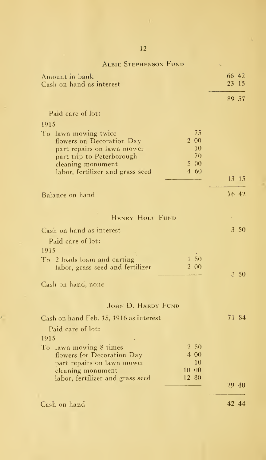| <b>ALBIE STEPHENSON FUND</b>                                          |       |
|-----------------------------------------------------------------------|-------|
| Amount in bank                                                        | 66 42 |
| Cash on hand as interest                                              | 23 15 |
|                                                                       | 89 57 |
| Paid care of lot:                                                     |       |
| 1915                                                                  |       |
| 75<br>To lawn mowing twice                                            |       |
| 2 00<br>flowers on Decoration Day<br>10<br>part repairs on lawn mower |       |
| 70<br>part trip to Peterborough                                       |       |
| 500<br>cleaning monument                                              |       |
| 4 60<br>labor, fertilizer and grass sced                              | 13 15 |
|                                                                       |       |
| Balance on hand                                                       | 76 42 |
| HENRY HOLT FUND                                                       |       |
| Cash on hand as interest                                              | 3.50  |
| Paid care of lot:                                                     |       |
| 1915                                                                  |       |
| 150<br>To 2 loads loam and carting                                    |       |
| 2.00<br>labor, grass seed and fertilizer                              | 3,50  |
| Cash on hand, none                                                    |       |
| JOHN D. HARDY FUND                                                    |       |
| Cash on hand Feb. 15, 1916 as interest                                | 71 84 |
| Paid care of lot:                                                     |       |
| 1915                                                                  |       |
| 2 50<br>To lawn mowing 8 times                                        |       |
| 4 00<br>flowers for Decoration Day                                    |       |
| 10<br>part repairs on lawn mower<br>1000                              |       |
| cleaning monument<br>12 80<br>labor, fertilizer and grass seed        |       |
|                                                                       | 2940  |
| Cash on hand                                                          | 42 44 |

ł

12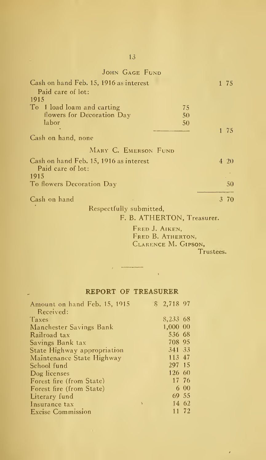# JOHN GAGE FUND

|                         |                | 1 75                               |
|-------------------------|----------------|------------------------------------|
|                         |                |                                    |
|                         |                |                                    |
|                         |                |                                    |
|                         |                |                                    |
|                         |                |                                    |
| MARY C. EMERSON FUND    |                |                                    |
|                         |                | 4 20                               |
|                         |                |                                    |
|                         |                | 50                                 |
|                         |                | 3 70                               |
| Respectfully submitted, |                |                                    |
|                         |                |                                    |
| FRED J. AIKEN,          |                |                                    |
|                         | 75<br>50<br>50 | 1 75<br>F. B. ATHERTON, Treasurer. |

Fred B. Atherton, Clarence M. Gipson,

Trustees.

ż

# REPORT OF TREASURER

 $\sim$  10  $\pm$ 

| Amount on hand Feb. 15, 1915 |   | \$2,718,97 |       |
|------------------------------|---|------------|-------|
| Received:                    |   |            |       |
| Taxes                        |   | 8,233 68   |       |
| Manchester Savings Bank      |   | 1,000 00   |       |
| Railroad tax                 |   | 536 68     |       |
| Savings Bank tax             |   | 708 95     |       |
| State Highway appropriation  |   | 341 33     |       |
| Maintenance State Highway    |   | 113 47     |       |
| School fund                  |   | 297 15     |       |
| Dog licenses                 |   | 126 60     |       |
| Forest fire (from State)     |   |            | 17 76 |
| Forest fire (from State)     |   |            | 6 00  |
| Literary fund                |   |            | 69 55 |
| Insurance tax                | ÷ |            | 14 62 |
| <b>Excise Commission</b>     |   |            | 11 72 |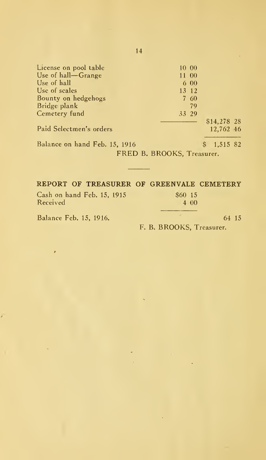| License on pool table         | 10 00                      |                           |  |
|-------------------------------|----------------------------|---------------------------|--|
| Use of hall-Grange            | 11 00                      |                           |  |
| Use of hall                   | 6 00                       |                           |  |
| Use of scales                 | 13 12                      |                           |  |
| Bounty on hedgehogs           | 7 60                       |                           |  |
| Bridge plank                  | 79                         |                           |  |
| Cemetery fund                 | 33 29                      |                           |  |
|                               |                            | \$14,278 28               |  |
| Paid Selectmen's orders       |                            | 12,762 46                 |  |
| Balance on hand Feb. 15, 1916 |                            | 1,515 82<br>$\mathcal{S}$ |  |
|                               | FRED B. BROOKS, Treasurer. |                           |  |

|                            | REPORT OF TREASURER OF GREENVALE CEMETERY |
|----------------------------|-------------------------------------------|
| Cash on hand Feb. 15, 1915 | \$60, 15                                  |
| Received                   | 4 00                                      |
| Balance Feb. 15, 1916.     | 64 15                                     |
|                            | F. B. BROOKS, Treasurer.                  |

 $\bar{\pmb{r}}$ 

J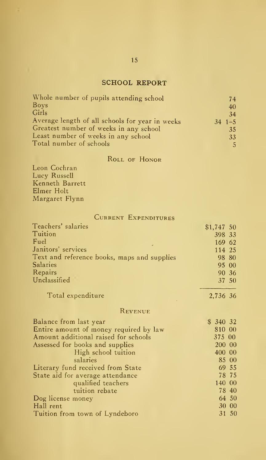# SCHOOL REPORT

| Whole number of pupils attending school         | 74           |
|-------------------------------------------------|--------------|
| <b>Boys</b>                                     | 40           |
| Girls                                           | 34           |
| Average length of all schools for year in weeks | $34 \t1 - 5$ |
| Greatest number of weeks in any school          | 35           |
| Least number of weeks in any school             | 33           |
| Total number of schools                         | 5            |

#### ROLL OF HONOR

Leon Cochran Lucy Russell Kenneth Barrett Elmer Holt Margaret Flynn

# Current Expenditures

| Teachers' salaries                          | $$1,747$ 50 |       |
|---------------------------------------------|-------------|-------|
| Tuition                                     | 398 33      |       |
| Fuel                                        | 169 62      |       |
| Janitors' services                          | 114 25      |       |
| Text and reference books, maps and supplies | 98 80       |       |
| Salaries                                    | 95 00       |       |
| Repairs                                     |             | 90 36 |
| Unclassified                                |             | 37 50 |
| Total expenditure                           | 2,736 36    |       |
| REVENUE                                     |             |       |
| Balance from last year                      | \$ 340 32   |       |
| Entire amount of money required by law      | 810 00      |       |
| Amount additional raised for schools        | 375 00      |       |
| Assessed for books and supplies             | 200 00      |       |
| High school tuition                         | 400 00      |       |
| salaries                                    |             | 85 00 |
| Literary fund received from State           |             | 69 55 |
| State aid for average attendance            |             | 78 75 |
| qualified teachers                          | 140 00      |       |
| tuition rebate                              |             | 78 40 |
| Dog license money                           |             | 64 50 |
| Hall rent                                   |             | 30 00 |
| Tuition from town of Lyndeboro              |             | 31 50 |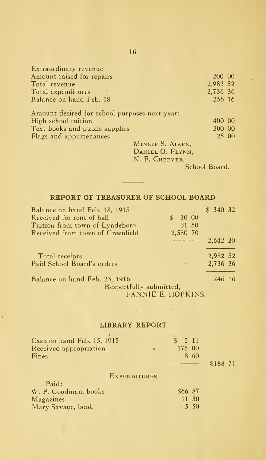| Extraordinary revenue                         |          |       |
|-----------------------------------------------|----------|-------|
| Amount raised for repairs                     | 200 00   |       |
| Total revenue                                 | 2,982 52 |       |
| Total expenditures                            | 2,736 36 |       |
| Balance on hand Feb. 18                       | 256 16   |       |
| Amount desired for school purposes next year: |          |       |
| High school tuition                           | 400 00   |       |
| Text books and pupils supplies                | 200 00   |       |
| Flags and appurtenances                       |          | 25 00 |
| MINNIE S. AIKEN,                              |          |       |
| DANIEL O. FLYNN,                              |          |       |

N. F. Cheever,

School Board.

#### REPORT OF TREASURER OF SCHOOL BOARD

| Balance on hand Feb. 18, 1915    |                                                    |          | \$34032  |  |
|----------------------------------|----------------------------------------------------|----------|----------|--|
| Received for rent of hall        | $^{\circ}$                                         | 30 00    |          |  |
| Tuition from town of Lyndeboro   |                                                    | 31 50    |          |  |
| Received from town of Greenfield |                                                    | 2,580 70 |          |  |
|                                  |                                                    |          | 2,642 20 |  |
| Total receipts                   |                                                    |          | 2,982 52 |  |
| Paid School Board's orders       |                                                    |          | 2,736 36 |  |
| Balance on hand Feb. 23, 1916    |                                                    |          | 246 16   |  |
|                                  | Respectfully submitted,<br><b>EANNIE E HODKING</b> |          |          |  |

FANNIE E.HOPKINS.

 $\omega$  and  $\omega$  and  $\omega$ 

# LIBRARY REPORT

ú.

,

| Cash on hand Feb. 15, 1915<br>Received appropriation<br>Fines | 5 11<br>S.<br>175 00<br>¢.<br>8 60<br>\$188 71 |  |
|---------------------------------------------------------------|------------------------------------------------|--|
|                                                               | EXPENDITURES                                   |  |
| Paid:                                                         |                                                |  |
| W. P. Goodman, books                                          | \$66 87                                        |  |
| Magazines                                                     | 11 30                                          |  |
| Mary Savage, book                                             | 5 50                                           |  |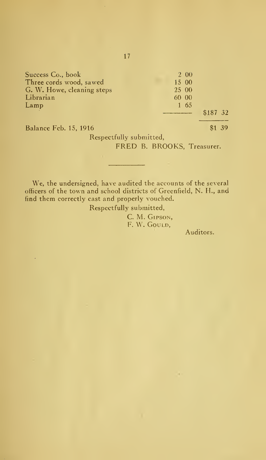| 2 00  |          |
|-------|----------|
| 15 00 |          |
| 25 00 |          |
| 60 00 |          |
| 1 65  |          |
|       | \$187.32 |
|       |          |

### **Balance Feb. 15, 1916** \$1 39

÷,

Respectfully submitted,

FRED B. BROOKS, Treasurer.

We, the undersigned, have audited the accounts of the several officers of the town and school districts of Greenfield, N. H., and find them correctly cast and properly vouched.

Respectfully submitted,

C. M. Gipson, F. W. Gould,

Auditors.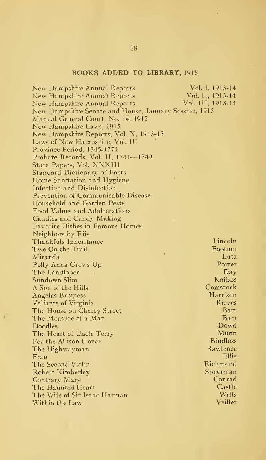#### BOOKS ADDED TO LIBRARY, 191S

New Hampshire Annual Reports New Hampshire Annual Reports New Hampshire Annual Reports New Hampshire Senate and House, January Session, 1915 Manual General Court, No. 14, 1915 New Hampshire Laws, 1915 New Hampshire Reports, Vol. X, 1913-15 Laws of New Hampshire, Vol. Ill Province Period, 1745-1774 Probate Records, Vol. II, 1741—1749 State Papers, Vol. XXXIII Standard Dictionary of Facts Home Sanitation and Hygiene Infection and Disinfection Prevention of Communicable Disease Household and Garden Pests Food Values and Adulterations Candies and Candy Making Favorite Dishes in Famous Homes Neighbors by Riis Thankfuls Inheritance Two On the Trail Miranda Polly Anna Grows Up The Landloper Sundown Slim A Son of the Hills Angelas Business Valiants of Virginia The House on Cherry Street The Measure of <sup>a</sup> Man Doodles The Heart of Uncle Terry For the Allison Honor The Highwayman Frau The Second Violin Robert Kimberley Contrary Mary The Haunted Heart The Wife of Sir Isaac Harman Within the Law Vol. I, 1913-14 Vol. 11, 1913-14 Vol. Ill, 1913-14 Lincoln Footner Lutz Porter Day Knibbs Comstock Harrison Rieves Barr Barr Dowd Munn Bindloss Rawlence Ellis Richmond Spearman Conrad Castle Wells Veiller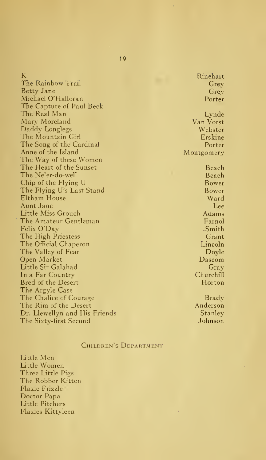| K                             | Rineha                  |
|-------------------------------|-------------------------|
| The Rainbow Trail             | Gr(                     |
| Betty Jane                    | Gre                     |
| Michael O'Halloran            | Port                    |
| The Capture of Paul Beck      |                         |
| The Real Man                  | $_{Lyn}$                |
| Mary Moreland                 | Van Vor                 |
| Daddy Longlegs                | Webst                   |
| The Mountain Girl             | Erski:                  |
| The Song of the Cardinal      | Port                    |
| Anne of the Island            | Montgome.               |
| The Way of these Women        |                         |
| The Heart of the Sunset       | <b>Bea</b>              |
| The Ne'er-do-well             | <b>Bea</b>              |
| Chip of the Flying U          | Bow                     |
| The Flying U's Last Stand     | Bow                     |
| Eltham House                  | Wa:                     |
| Aunt Jane                     | L                       |
| Little Miss Grouch            | Adar                    |
| The Amateur Gentleman         | Farn                    |
| Felix O'Day                   | -Smi                    |
| The High Priestess            | Gra                     |
| The Official Chaperon         | Linco                   |
| The Valley of Fear            | $\mathbf{D}\mathbf{oy}$ |
| Open Market                   | Dasco                   |
| Little Sir Galahad            | Gra                     |
| In a Far Country              | Church                  |
| Bred of the Desert            | Horte                   |
| The Argyle Case               |                         |
| The Chalice of Courage        | Brac                    |
| The Rim of the Desert         | Anderso                 |
| Dr. Llewellyn and His Friends | Stanl                   |
| The Sixty-first Second        | Johnso                  |
|                               |                         |

# Children's Department

Little Men Little Women Three Little Pigs The Robber Kitten Flaxie Frizzle Doctor Papa Little Pitchers Flaxies Kittyleen

19

 $rr$ ey ey er

l,

 $\overline{\text{d}}\text{e}$  $st$ er ne er: ry

> $ch$  $ch$  $er$ er rd ee  $ns$  $I_{\text{O}}$  $th$ nt  $ln$  $rle$  $m$ Gray Churchill Horton

 $\overline{dy}$ on. ey  $\overline{\text{no}}$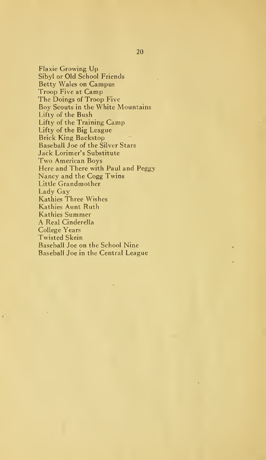Flaxie Growing Up Sibyl or Old School Friends Betty Wales on Campus Troop Five at Camp The Doings of Troop Five Boy Scouts in the White Mountains Lifty of the Bush Lifty of the Training Camp Lifty of the Big League Brick King Backstop Baseball Joe of the Silver Stars Jack Lorimer's Substitute Two American Boys Here and There with Paul and Peggy Nancy and the Cogg Twins Little Grandmother Lady Gay Kathies Three Wishes Kathies Aunt Ruth Kathies Summer A Real Cinderella College Years Twisted Skein Baseball Joe on the School Nine Baseball Joe in the Central League

 $\overline{1}$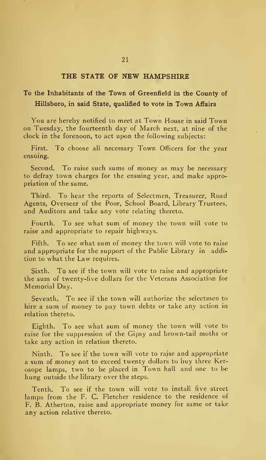#### THE STATE OF NEW HAMPSHIRE

# To the Inhabitants of the Town of Greenfield in the County of Hillsboro, in said State, qualified to vote in Town Affairs

You are hereby notified to meet at Town House in said Town on Tuesday, the fourteenth day of March next, at nine of the clock in the forenoon, to act upon the following subjects:

First. To choose all necessary Town Officers for the year ensuing.

Second. To raise such sums of money as may be necessary to defray town charges for the ensuing year, and make appropriation of the same.

Third. To hear the reports of Selectmen, Treasurer, Road Agents, Overseer of the Poor, School Board, Library Trustees, and Auditors and take any vote relating thereto.

Fourth. To see what sum of money the town will vote to raise and appropriate to repair highways.

Fifth. To see what sum of money the town will vote to raise and appropriate for the support of the Public Library in addition to what the Law requires.

Sixth. To see if the town will vote to raise and appropriate the sum of twenty-five dollars for the Veterans Association for Memorial Day.

Seventh. To see if the town will authorize the selectmen to hire a sum of money to pay town debts or take any action in relation thereto.

Eighth. To see what sum of money the town will vote to raise for the suppression of the Gipsy and brown-tail moths or take any action in relation thereto.

Ninth. To see if the town will vote to raise and appropriate a sum of money not to exceed twenty dollars to buy three Kerosope lamps, two to be placed in Town hall and one to be hung outside the library over the steps.

Tenth. To see if the town will vote to install five street lamps from the F. C. Fletcher residence to the residence of F. B. Atherton, raise and appropriate money for same or take any action relative thereto.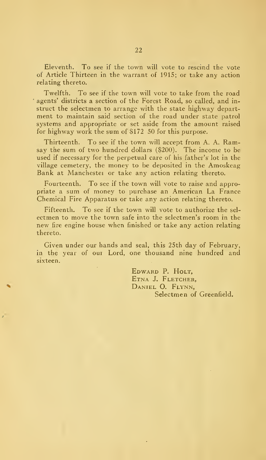Eleventh. To see if the town will vote to rescind the vote of Article Thirteen in the warrant of 1915; or take any action relating thereto.

Twelfth. To see if the town will vote to take from the road agents' districts a section of the Forest Road, so called, and in struct the selectmen to arrange with the state highway department to maintain said section of the road under state patrol systems and appropriate or set aside from the amount raised for highway work the sum of \$172 50 for this purpose.

Thirteenth. To see if the town will accept from A. A. Ramsay the sum of two hundred dollars (\$200). The income to be used if necessary for the perpetual care of his father's lot in the village cemetery, the money to be deposited in the Amoskeag Bank at Manchestei or take any action relating thereto.

Fourteenth. To see if the town will vote to raise and appropriate a sum of money to purchase an American La France Chemical Fire Apparatus or take any action relating thereto.

Fifteenth. To see if the town will vote to authorize the sel ectmen to move the town safe into the selectmen's room in the new fire engine house when finished or take any action relating thereto.

Given under our hands and seal, this 25th day of February, in the year of our Lord, one thousand nine hundred and sixteen.

> Edward P. Holt, Etna J. Fletcher, DANIEL O. FLYNN, Selectmen of Greenfield.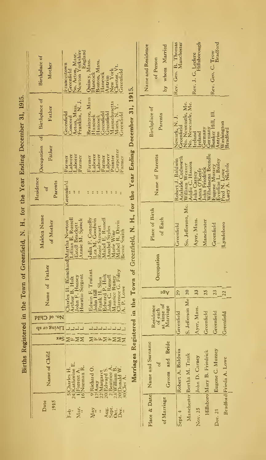|                                                                                            | Birthplace of<br>Mother                               | Newton Yorkshire<br>England<br>So. Acton, Mass.<br>Quincy, Mass.<br>Francestown<br>Greenfield | Boston, Mass.<br>Chester, Vt.<br>New York<br>Greenfield<br>Hancock<br>Hancock<br>Antrim                                                                                                              |                                                                                               | Name and Residence<br>by whom Married<br>of Person | Rev. Geo. B. Thomas<br>Manchester      | Rev. J. G. Leclere<br>Hillsborough                  |                                                      | <b>Bradford</b><br>Rev. Geo. C. Trow |                                 |
|--------------------------------------------------------------------------------------------|-------------------------------------------------------|-----------------------------------------------------------------------------------------------|------------------------------------------------------------------------------------------------------------------------------------------------------------------------------------------------------|-----------------------------------------------------------------------------------------------|----------------------------------------------------|----------------------------------------|-----------------------------------------------------|------------------------------------------------------|--------------------------------------|---------------------------------|
|                                                                                            | Birthplace of<br>Father                               | Braintree, Mass<br>Franklin, N. J.<br>Acton, Mass.<br>Greenfield<br>Concord                   | Massachusetts<br>Moria, N.Y.<br>Greenfield<br>Greenfield<br>Greenfield<br>Hancock<br>Hancock                                                                                                         | Marriages Registered in the Town of Greenfield, N. H., for the Year Ending December 31, 1915. | Birthplace of<br>Parents                           | Newark, N. J.<br>Greenfield            | No. Newcastle, Me.<br>No. Newcastle, Mc.<br>Ireland | Germany<br>Germany<br>Ireland                        | Bunker Hill, Ill.<br>Antrim          | Washington<br>Bradford          |
|                                                                                            | Occupation of<br>Father<br>Residence<br>Parents<br>of | Laborer<br>.aborer<br>Farmer<br>Farmer<br>Greenfield<br>ç,<br>4                               | Carpenter<br>.aborer<br>Laborer<br>Laborer<br>Painter<br>Farmer<br>Farmer<br>farmer<br>¥                                                                                                             |                                                                                               | Name of Parents                                    | Adalaide Cudworth<br>Robert J. Baldwin | Addie C. Hasson<br>William Weaver<br>John Carney    | Wilhelmena Brendle<br>John Friedrick<br>Anna O'Keefe | Everline L. Bailey<br>Eugene Muzzey  | Lucy A. Nichols<br>Fred N. Lowe |
| Births Registered in the Town of Greenfield, N. H., for the Year Ending December 31, 1915. | Maiden Name<br>of Mother                              | Lillian E. Russell<br>Annie M. Spinck<br>Estell Brackett                                      | Julia F. Connelly<br>Mabel E. Russell<br>Lea M. Goodwin<br>Mabel R. Davis<br>Rosie Stewart<br>Anabel Styles<br>Marie Wine                                                                            |                                                                                               | Place of Birth<br>of Each                          | Greenfield                             | So. Jefferson, Mc.<br>Ayer, Mass.                   | Manchester                                           | Greenfield                           | Lyndeboro                       |
|                                                                                            | Name of Father                                        | Charles II. Blanchard Martha Newton<br>John F. Hussey<br>Horatio Scrgent                      | Clarence G. Foley<br>Edwin F. Trulant<br>Edward P. Holt                                                                                                                                              | <b>Bessie Smith</b>                                                                           | Occupation                                         |                                        |                                                     |                                                      |                                      |                                 |
|                                                                                            |                                                       |                                                                                               |                                                                                                                                                                                                      |                                                                                               | Age                                                | 29                                     | 20<br>33                                            | 25                                                   | 23                                   | 22                              |
|                                                                                            |                                                       | Arthur B. Holt                                                                                | John C. Russell<br>Maurice Runey<br>Frank H. Shea<br>A. P. Lowe<br>John Hill                                                                                                                         |                                                                                               | at time of<br>Residence<br>Marriage                |                                        | S. Jefferson Me                                     |                                                      |                                      |                                 |
|                                                                                            | 'ON<br><sup>of</sup> Child                            |                                                                                               |                                                                                                                                                                                                      |                                                                                               | of each                                            | Greenfield                             | Ayer, Mass.                                         | Greenfield                                           | Greenfield                           | Greenfield                      |
|                                                                                            | Living or<br>qs                                       |                                                                                               |                                                                                                                                                                                                      |                                                                                               |                                                    |                                        |                                                     |                                                      |                                      |                                 |
|                                                                                            | xəS<br>Name of Child                                  | ZHZZ<br>24 Katherine E.<br>5 Charles H.<br>16 Norman R.<br>IlForrest A.                       | ZHHZHZZZ<br>$\begin{array}{c}\n 2 \text{B} \text{earrice } A. \\ 23 \text{William B.} \\ 20 \text{Donald } W.\n\end{array}$<br>9 Richard O.<br>20 Edward S.<br>22 Margaret<br>30 Cles A.<br>$12$ Amy |                                                                                               | Groom and Bride<br>Name and Surname<br>ъò          | Robert A. Baldwin                      | Manchester Bertha M. Trask                          | Hillsboro Mary B. Friedrick<br>John D. Carney        | Eugene C. Muzzey                     | Bradford Frieda A. Lowe         |
|                                                                                            | 1915<br>Date                                          | Mar.<br>Feb                                                                                   | Aug.<br>Oct.<br>${\rm Max}_{\alpha}$<br>Dee.<br><b>Exp</b>                                                                                                                                           |                                                                                               | Place & Date<br>of Marriage                        | Sept. 4                                |                                                     | Nov. 25                                              | Dec. 21                              |                                 |

J.

Ŷ,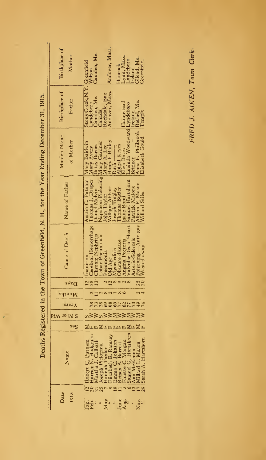|                                                                                                                | Birthplace of<br>Mother  | Andover, Mass<br>Camden, Me.<br>Hancock<br>Lynn, Mass.<br>Lyndeboro<br>Ireland<br>Gilead, Me.<br>Greenfield                                                                                                                                                                                                 |
|----------------------------------------------------------------------------------------------------------------|--------------------------|-------------------------------------------------------------------------------------------------------------------------------------------------------------------------------------------------------------------------------------------------------------------------------------------------------------|
|                                                                                                                | Birthplace of<br>Father  | 5tony Creek, N.Y.   Greenfield<br>Lyndeboro<br>tochdale, Eng.<br>mdover, Mass.<br>lamden, Me.<br>yndeboro<br>-vndeboro<br>ampstead<br>anada<br>Temple                                                                                                                                                       |
|                                                                                                                | Maiden Name<br>of Mother | Anna F. Philbrook 1<br>Elizabeth Gould<br>Mary Avery<br>Betsy Barnes<br>Mary Gardner<br>Mary A. Lee<br>Marnah Bailey<br>bigal Keyes<br>Eliza Bates<br>ucinda V<br>$rate -$<br>$\tanh -$                                                                                                                     |
|                                                                                                                | Name of Father           | Austin C. Putnam  Mary Baldwin<br>homas J. Draper<br>Samuel Hartshorn<br>'atrick Malone<br>Joseph Tingley<br>Thomas Butler<br>John Taylor<br>William Abbott<br>saac Bond<br>Napoleon F                                                                                                                      |
| Dealing Registerent in the 10th in the 10th and 10th and 10th and 10th in the 10th and 10th in the 10th of the | Cause of Death           | oisoning -Auto gas Albion P. Mason<br>rterio-Sclerosis<br>hronic Nephrit<br>alvular Dis. of<br>obar Pneumon<br>ngina Pectoris<br>scure disease<br>Wasted away<br>lyocarditis<br>erebral H<br>neumoni<br>nanition                                                                                            |
|                                                                                                                |                          | $\frac{1}{28}$                                                                                                                                                                                                                                                                                              |
|                                                                                                                |                          |                                                                                                                                                                                                                                                                                                             |
|                                                                                                                |                          | $\frac{2}{27}$                                                                                                                                                                                                                                                                                              |
|                                                                                                                |                          |                                                                                                                                                                                                                                                                                                             |
|                                                                                                                |                          |                                                                                                                                                                                                                                                                                                             |
|                                                                                                                | Name                     | dogman<br>Finette C. Morgan<br>Samuel G. Hartsh<br>Sarah A. Hartshor<br>Emma C. Johnson<br>17   Millard L. Mason<br>Martha J. Colbat<br><b>Joseph Pickering</b><br>Betsey A. Barret<br>Ann McKenna<br><u>្ត</u><br>Harriet N.A.<br>12   Robert C. 1<br>Elizabeth 1<br>$H$ anna $h$ $\overline{\phantom{a}}$ |
|                                                                                                                | Date<br>1915             | $\frac{3}{5}$<br>May<br>June<br>Aug.<br>Nov.<br>Jan.<br>Feb.<br>÷,<br>44                                                                                                                                                                                                                                    |

Deaths Registered in the Town of Greenfield N. H., for the Year Ending December 31, 1915.

ł

FRED J. AIKEN, Town Clerk.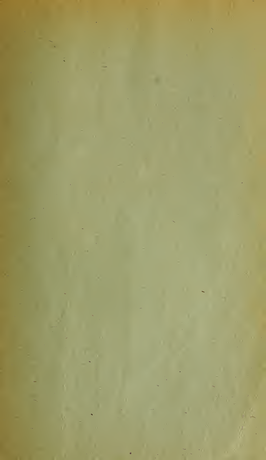